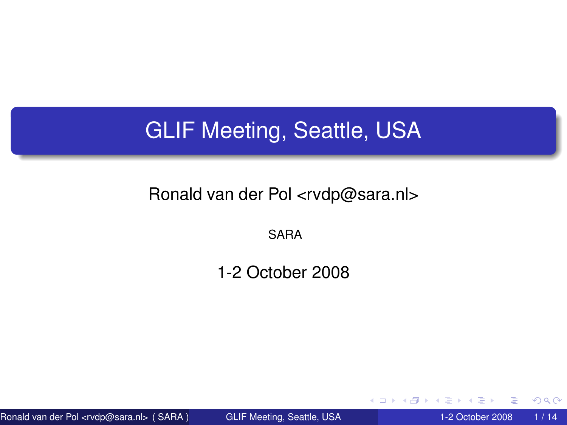## GLIF Meeting, Seattle, USA

#### Ronald van der Pol <rvdp@sara.nl>

SARA

1-2 October 2008

Ronald van der Pol <rvdp@sara.nl> (SARA ) [GLIF Meeting, Seattle, USA](#page-13-0) 1-2 October 2008 1/14

4 D.K. 4 同 下

<span id="page-0-0"></span> $298$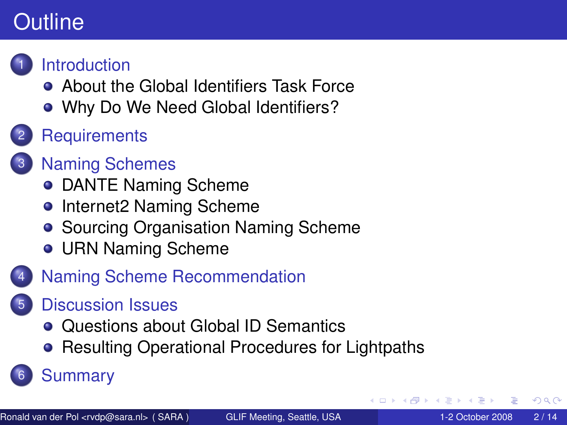## **Outline**



**[Introduction](#page-2-0)** 

- **[About the Global Identifiers Task Force](#page-2-0)**
- [Why Do We Need Global Identifiers?](#page-3-0)
- **[Requirements](#page-4-0)**
- **[Naming Schemes](#page-5-0)** 
	- **[DANTE Naming Scheme](#page-5-0)**
	- [Internet2 Naming Scheme](#page-6-0)
	- [Sourcing Organisation Naming Scheme](#page-7-0)
	- **[URN Naming Scheme](#page-8-0)**
- [Naming Scheme Recommendation](#page-9-0)
	- 5 [Discussion Issues](#page-10-0)
		- [Questions about Global ID Semantics](#page-10-0)
		- **[Resulting Operational Procedures for Lightpaths](#page-11-0)**

### **[Summary](#page-12-0)**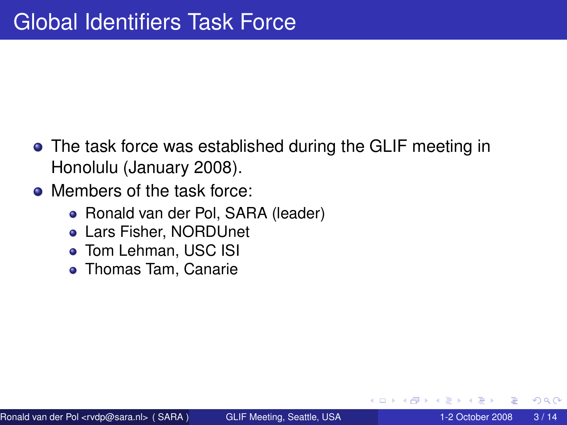- The task force was established during the GLIF meeting in Honolulu (January 2008).
- <span id="page-2-0"></span>• Members of the task force:
	- Ronald van der Pol, SARA (leader)
	- Lars Fisher, NORDUnet
	- **Tom Lehman, USC ISI**
	- **Thomas Tam, Canarie**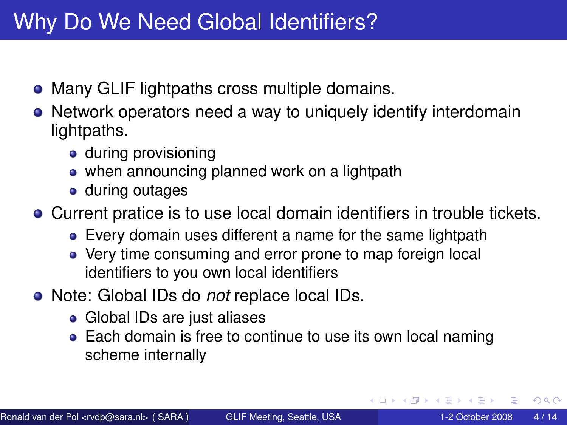## Why Do We Need Global Identifiers?

- Many GLIF lightpaths cross multiple domains.
- Network operators need a way to uniquely identify interdomain lightpaths.
	- during provisioning
	- when announcing planned work on a lightpath
	- **o** during outages

Current pratice is to use local domain identifiers in trouble tickets.

- Every domain uses different a name for the same lightpath
- Very time consuming and error prone to map foreign local identifiers to you own local identifiers
- Note: Global IDs do *not* replace local IDs.
	- Global IDs are just aliases
	- Each domain is free to continue to use its own local naming scheme internally

<span id="page-3-0"></span> $\Omega$ 

 $\mathcal{A}$   $\overline{\mathcal{B}}$   $\rightarrow$   $\mathcal{A}$   $\overline{\mathcal{B}}$   $\rightarrow$   $\mathcal{A}$   $\overline{\mathcal{B}}$   $\rightarrow$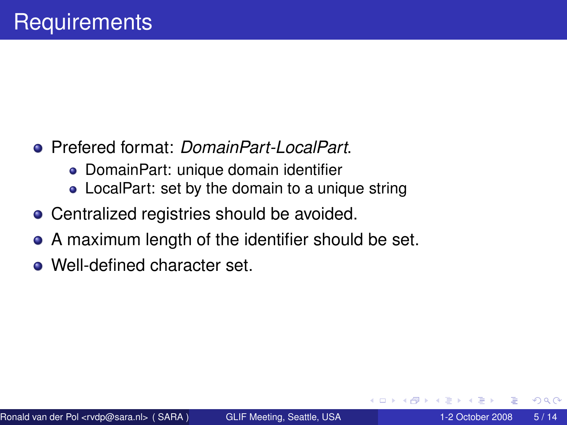- Prefered format: *DomainPart-LocalPart*.
	- DomainPart: unique domain identifier
	- LocalPart: set by the domain to a unique string
- Centralized registries should be avoided.
- A maximum length of the identifier should be set.
- <span id="page-4-0"></span>• Well-defined character set.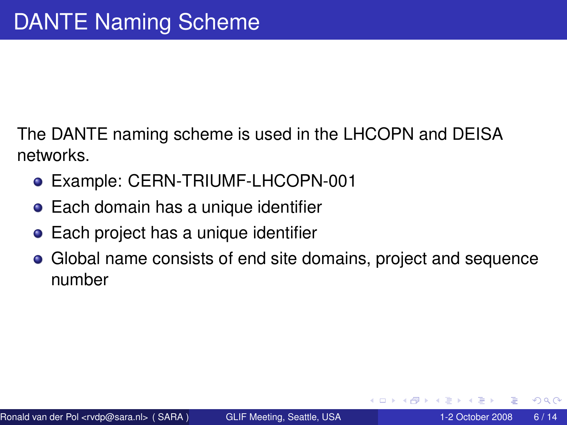The DANTE naming scheme is used in the LHCOPN and DEISA networks.

- Example: CERN-TRIUMF-LHCOPN-001
- **•** Each domain has a unique identifier
- Each project has a unique identifier
- <span id="page-5-0"></span>Global name consists of end site domains, project and sequence number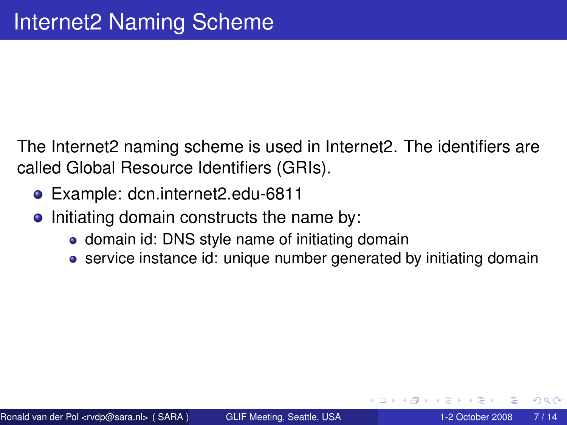The Internet2 naming scheme is used in Internet2. The identifiers are called Global Resource Identifiers (GRIs).

- Example: dcn.internet2.edu-6811
- <span id="page-6-0"></span>• Initiating domain constructs the name by:
	- domain id: DNS style name of initiating domain
	- service instance id: unique number generated by initiating domain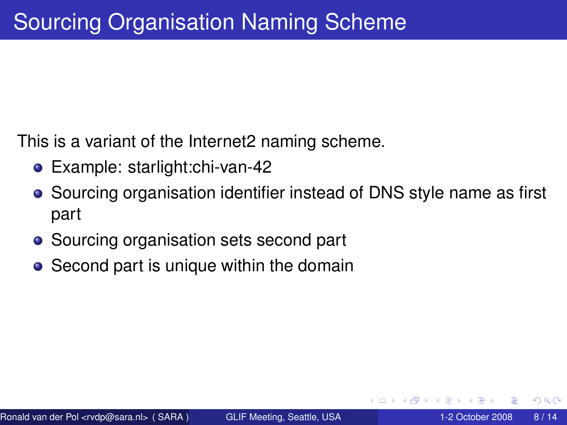This is a variant of the Internet2 naming scheme.

- Example: starlight:chi-van-42
- Sourcing organisation identifier instead of DNS style name as first part
- Sourcing organisation sets second part
- <span id="page-7-0"></span>• Second part is unique within the domain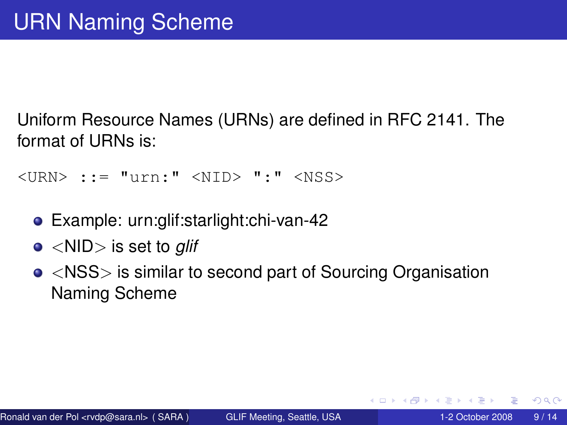Uniform Resource Names (URNs) are defined in RFC 2141. The format of URNs is:

<URN> ::= "urn:" <NID> ":" <NSS>

- Example: urn:glif:starlight:chi-van-42
- <NID> is set to *glif*
- <span id="page-8-0"></span><NSS> is similar to second part of Sourcing Organisation Naming Scheme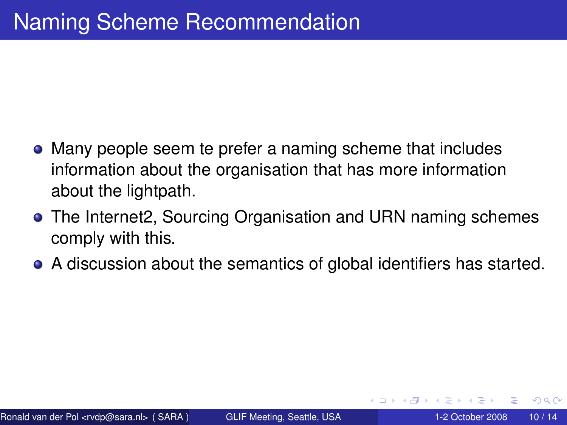- Many people seem te prefer a naming scheme that includes information about the organisation that has more information about the lightpath.
- The Internet2, Sourcing Organisation and URN naming schemes comply with this.
- <span id="page-9-0"></span>A discussion about the semantics of global identifiers has started.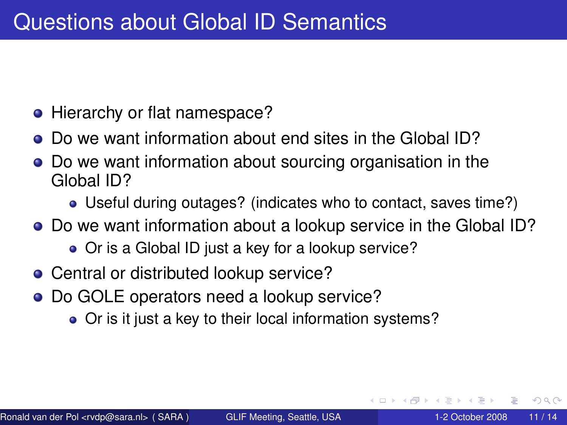- Hierarchy or flat namespace?
- Do we want information about end sites in the Global ID?
- Do we want information about sourcing organisation in the Global ID?
	- Useful during outages? (indicates who to contact, saves time?)
- Do we want information about a lookup service in the Global ID?
	- Or is a Global ID just a key for a lookup service?
- Central or distributed lookup service?
- <span id="page-10-0"></span>Do GOLE operators need a lookup service?
	- Or is it just a key to their local information systems?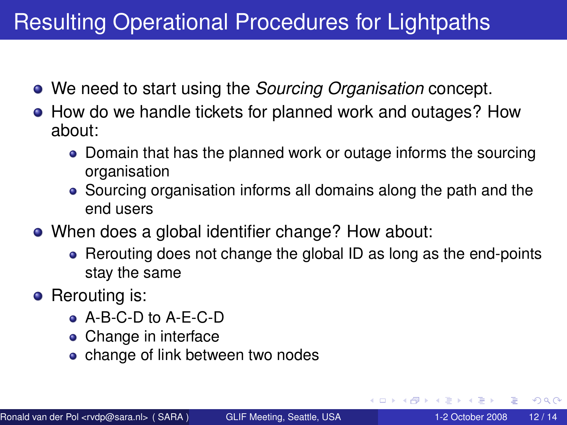## Resulting Operational Procedures for Lightpaths

- We need to start using the *Sourcing Organisation* concept.
- How do we handle tickets for planned work and outages? How about:
	- Domain that has the planned work or outage informs the sourcing organisation
	- Sourcing organisation informs all domains along the path and the end users
- When does a global identifier change? How about:
	- Rerouting does not change the global ID as long as the end-points stay the same
- <span id="page-11-0"></span>• Rerouting is:
	- A-B-C-D to A-E-C-D
	- Change in interface
	- change of link between two nodes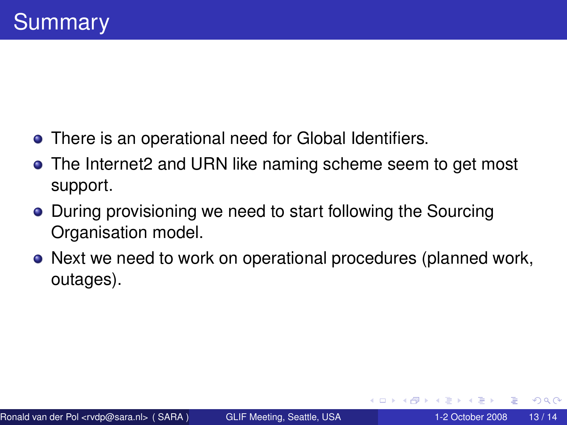- There is an operational need for Global Identifiers.
- The Internet2 and URN like naming scheme seem to get most support.
- During provisioning we need to start following the Sourcing Organisation model.
- <span id="page-12-0"></span>• Next we need to work on operational procedures (planned work, outages).